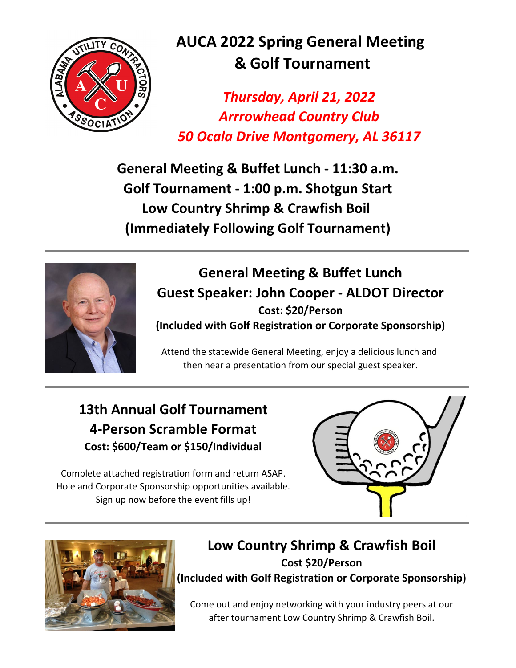

# **AUCA 2022 Spring General Meeting & Golf Tournament**

*Arrrowhead Country Club Thursday, April 21, 2022 50 Ocala Drive Montgomery, AL 36117*

**General Meeting & Buffet Lunch - 11:30 a.m. Golf Tournament - 1:00 p.m. Shotgun Start Low Country Shrimp & Crawfish Boil (Immediately Following Golf Tournament)**



### **General Meeting & Buffet Lunch Guest Speaker: John Cooper - ALDOT Director (Included with Golf Registration or Corporate Sponsorship) Cost: \$20/Person**

Attend the statewide General Meeting, enjoy a delicious lunch and then hear a presentation from our special guest speaker.

## **Cost: \$600/Team or \$150/Individual 4-Person Scramble Format 13th Annual Golf Tournament**

Hole and Corporate Sponsorship opportunities available. Complete attached registration form and return ASAP. Sign up now before the event fills up!





### **Low Country Shrimp & Crawfish Boil Cost \$20/Person (Included with Golf Registration or Corporate Sponsorship)**

Come out and enjoy networking with your industry peers at our after tournament Low Country Shrimp & Crawfish Boil.